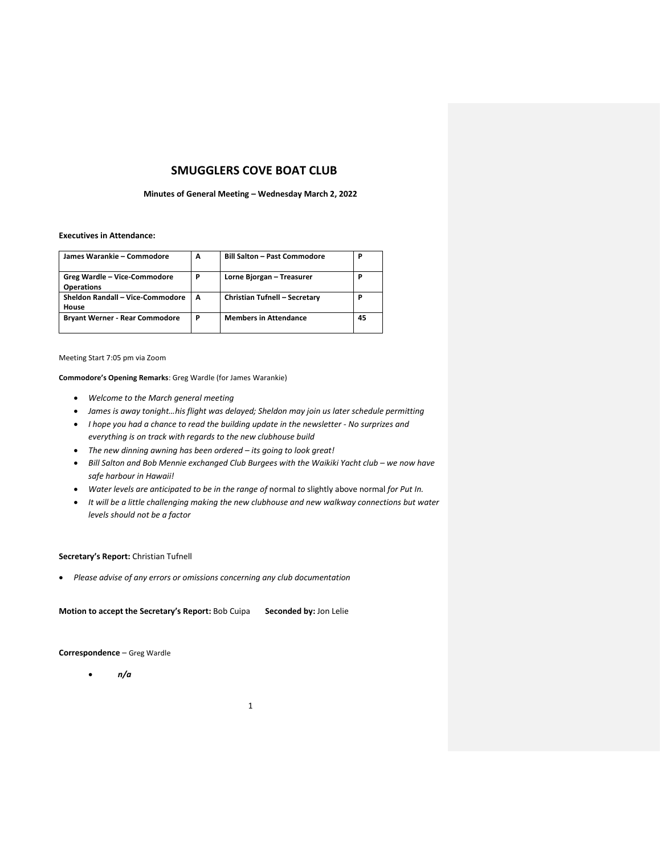# **SMUGGLERS COVE BOAT CLUB**

#### **Minutes of General Meeting – Wednesday March 2, 2022**

### **Executives in Attendance:**

| James Warankie - Commodore                        | A | <b>Bill Salton - Past Commodore</b> | Ρ  |
|---------------------------------------------------|---|-------------------------------------|----|
| Greg Wardle - Vice-Commodore<br><b>Operations</b> | P | Lorne Bjorgan - Treasurer           | Ρ  |
| Sheldon Randall - Vice-Commodore<br>House         | A | Christian Tufnell - Secretary       | Р  |
| <b>Bryant Werner - Rear Commodore</b>             | P | <b>Members in Attendance</b>        | 45 |

Meeting Start 7:05 pm via Zoom

**Commodore's Opening Remarks**: Greg Wardle (for James Warankie)

- *Welcome to the March general meeting*
- *James is away tonight…his flight was delayed; Sheldon may join us later schedule permitting*
- *I hope you had a chance to read the building update in the newsletter - No surprizes and everything is on track with regards to the new clubhouse build*
- *The new dinning awning has been ordered – its going to look great!*
- Bill Salton and Bob Mennie exchanged Club Burgees with the Waikiki Yacht club we now have *safe harbour in Hawaii!*
- *Water levels are anticipated to be in the range of normal to slightly above normal for Put In.*
- *It will be a little challenging making the new clubhouse and new walkway connections but water levels should not be a factor*

### **Secretary's Report:** Christian Tufnell

• *Please advise of any errors or omissions concerning any club documentation*

**Motion to accept the Secretary's Report:** Bob Cuipa **Seconded by:** Jon Lelie

**Correspondence** – Greg Wardle

• *n/a*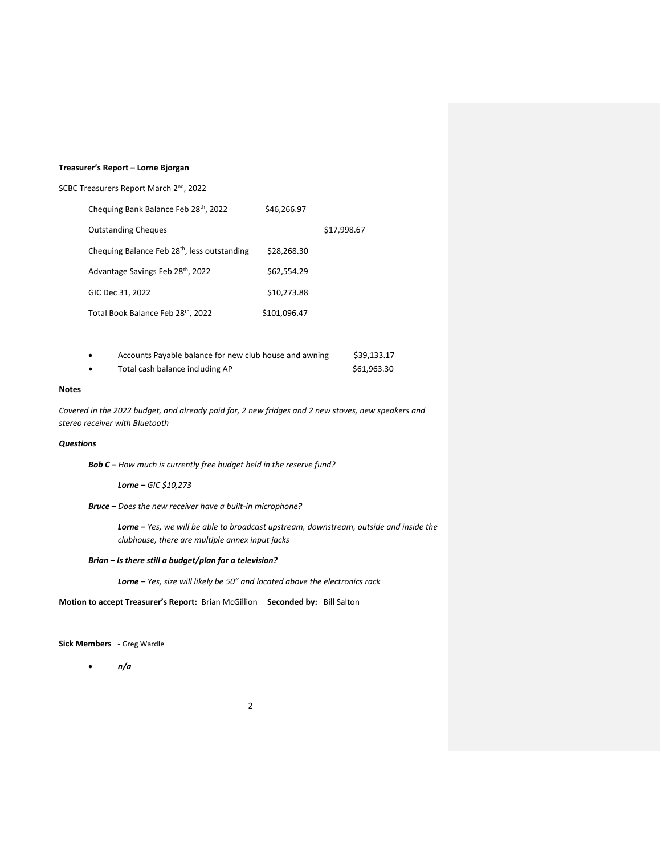# **Treasurer's Report – Lorne Bjorgan**

| SCBC Treasurers Report March 2 <sup>nd</sup> , 2022 |  |  |  |  |
|-----------------------------------------------------|--|--|--|--|
|-----------------------------------------------------|--|--|--|--|

| Chequing Bank Balance Feb 28th, 2022                     | \$46,266.97  |             |
|----------------------------------------------------------|--------------|-------------|
| <b>Outstanding Cheques</b>                               |              | \$17,998.67 |
| Chequing Balance Feb 28 <sup>th</sup> , less outstanding | \$28.268.30  |             |
| Advantage Savings Feb 28th, 2022                         | \$62,554.29  |             |
| GIC Dec 31, 2022                                         | \$10,273.88  |             |
| Total Book Balance Feb 28th, 2022                        | \$101,096.47 |             |

| Accounts Payable balance for new club house and awning | \$39,133.17 |
|--------------------------------------------------------|-------------|
| Total cash balance including AP                        | \$61.963.30 |

### **Notes**

*Covered in the 2022 budget, and already paid for, 2 new fridges and 2 new stoves, new speakers and stereo receiver with Bluetooth*

# *Questions*

*Bob C – How much is currently free budget held in the reserve fund?*

*Lorne – GIC \$10,273*

*Bruce – Does the new receiver have a built-in microphone?*

*Lorne – Yes, we will be able to broadcast upstream, downstream, outside and inside the clubhouse, there are multiple annex input jacks*

# *Brian – Is there still a budget/plan for a television?*

*Lorne – Yes, size will likely be 50" and located above the electronics rack*

**Motion to accept Treasurer's Report:** Brian McGillion **Seconded by:** Bill Salton

**Sick Members -** Greg Wardle

• *n/a*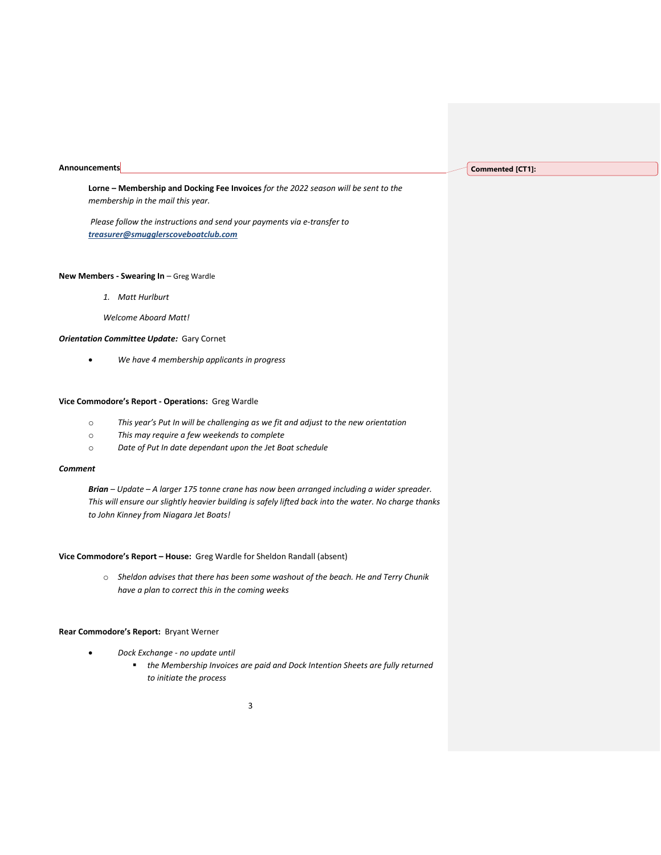#### **Announcements**

**Lorne – Membership and Docking Fee Invoices** *for the 2022 season will be sent to the membership in the mail this year.* 

*Please follow the instructions and send your payments via e-transfer to treasurer@smugglerscoveboatclub.com*

#### **New Members - Swearing In** – Greg Wardle

- *1. Matt Hurlburt*
- *Welcome Aboard Matt!*

### *Orientation Committee Update:* Gary Cornet

• *We have 4 membership applicants in progress*

#### **Vice Commodore's Report - Operations:** Greg Wardle

- o *This year's Put In will be challenging as we fit and adjust to the new orientation*
- o *This may require a few weekends to complete*
- o *Date of Put In date dependant upon the Jet Boat schedule*

### *Comment*

*Brian – Update – A larger 175 tonne crane has now been arranged including a wider spreader. This will ensure our slightly heavier building is safely lifted back into the water. No charge thanks to John Kinney from Niagara Jet Boats!*

# **Vice Commodore's Report – House:** Greg Wardle for Sheldon Randall (absent)

o *Sheldon advises that there has been some washout of the beach. He and Terry Chunik have a plan to correct this in the coming weeks*

#### **Rear Commodore's Report:** Bryant Werner

- *Dock Exchange - no update until* 
	- *the Membership Invoices are paid and Dock Intention Sheets are fully returned to initiate the process*

# **Commented [CT1]:**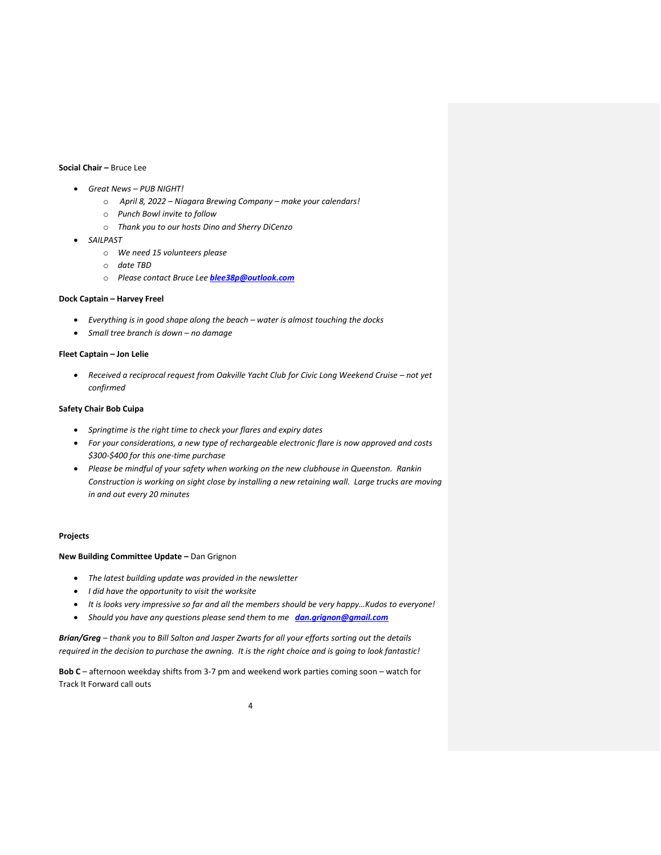# **Social Chair –** Bruce Lee

- *Great News – PUB NIGHT!* 
	- o *April 8, 2022 – Niagara Brewing Company – make your calendars!*
	- o *Punch Bowl invite to follow*
	- o *Thank you to our hosts Dino and Sherry DiCenzo*
- *SAILPAST*
	- o *We need 15 volunteers please*
	- o *date TBD*
	- o *Please contact Bruce Lee [blee38p@outlook.com](blee38p@outlook.com%20)*

#### **Dock Captain – Harvey Freel**

- *Everything is in good shape along the beach – water is almost touching the docks*
- *Small tree branch is down – no damage*

### **Fleet Captain – Jon Lelie**

• Received a reciprocal request from Oakville Yacht Club for Civic Long Weekend Cruise - not yet *confirmed*

### **Safety Chair Bob Cuipa**

- *Springtime is the right time to check your flares and expiry dates*
- *For your considerations, a new type of rechargeable electronic flare is now approved and costs \$300-\$400 for this one-time purchase*
- *Please be mindful of your safety when working on the new clubhouse in Queenston. Rankin Construction is working on sight close by installing a new retaining wall. Large trucks are moving in and out every 20 minutes*

#### **Projects**

**New Building Committee Update –** Dan Grignon

- *The latest building update was provided in the newsletter*
- *I did have the opportunity to visit the worksite*
- *It is looks very impressive so far and all the members should be very happy…Kudos to everyone!*
- *Should you have any questions please send them to me [dan.grignon@gmail.com](mailto:dan.grignon@gmail.com)*

*Brian/Greg – thank you to Bill Salton and Jasper Zwarts for all your efforts sorting out the details required in the decision to purchase the awning. It is the right choice and is going to look fantastic!* 

**Bob C** – afternoon weekday shifts from 3-7 pm and weekend work parties coming soon – watch for Track It Forward call outs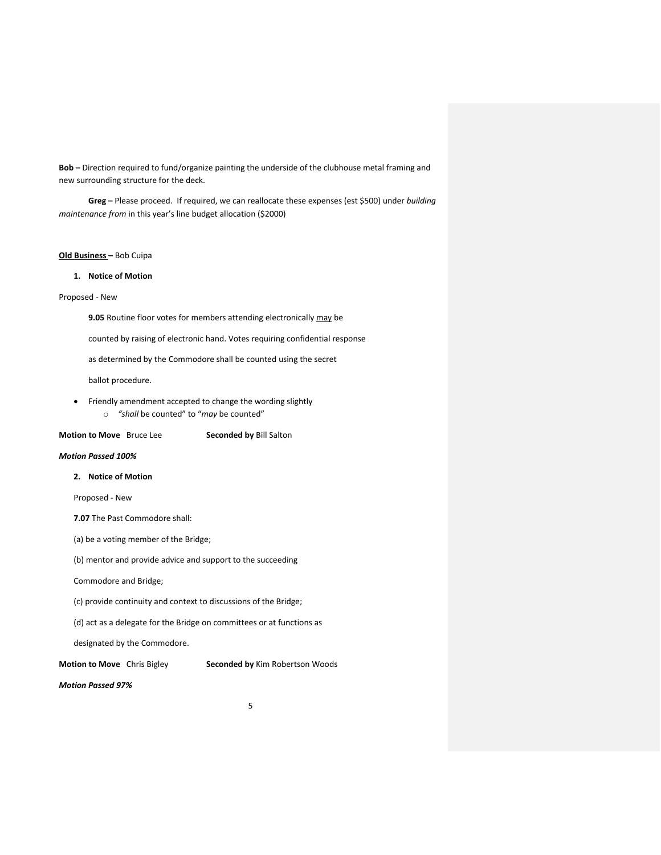**Bob –** Direction required to fund/organize painting the underside of the clubhouse metal framing and new surrounding structure for the deck.

**Greg –** Please proceed. If required, we can reallocate these expenses (est \$500) under *building maintenance from* in this year's line budget allocation (\$2000)

# **Old Business –** Bob Cuipa

### **1. Notice of Motion**

# Proposed - New

**9.05** Routine floor votes for members attending electronically may be

counted by raising of electronic hand. Votes requiring confidential response

as determined by the Commodore shall be counted using the secret

ballot procedure.

• Friendly amendment accepted to change the wording slightly o *"shall* be counted" to "*may* be counted"

**Motion to Move** Bruce Lee **Seconded by** Bill Salton

### *Motion Passed 100%*

# **2. Notice of Motion**

Proposed - New

**7.07** The Past Commodore shall:

(a) be a voting member of the Bridge;

(b) mentor and provide advice and support to the succeeding

Commodore and Bridge;

(c) provide continuity and context to discussions of the Bridge;

(d) act as a delegate for the Bridge on committees or at functions as

designated by the Commodore.

**Motion to Move** Chris Bigley **Seconded by** Kim Robertson Woods

# *Motion Passed 97%*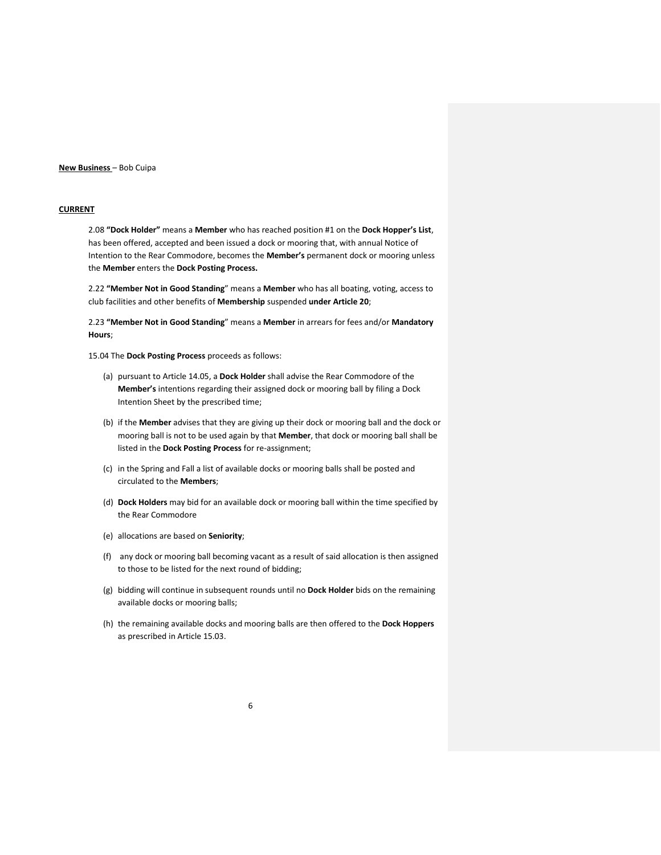### **New Business** – Bob Cuipa

# **CURRENT**

2.08 **"Dock Holder"** means a **Member** who has reached position #1 on the **Dock Hopper's List**, has been offered, accepted and been issued a dock or mooring that, with annual Notice of Intention to the Rear Commodore, becomes the **Member's** permanent dock or mooring unless the **Member** enters the **Dock Posting Process.**

2.22 **"Member Not in Good Standing**" means a **Member** who has all boating, voting, access to club facilities and other benefits of **Membership** suspended **under Article 20**;

2.23 **"Member Not in Good Standing**" means a **Member** in arrears for fees and/or **Mandatory Hours**;

15.04 The **Dock Posting Process** proceeds as follows:

- (a) pursuant to Article 14.05, a **Dock Holder** shall advise the Rear Commodore of the **Member's** intentions regarding their assigned dock or mooring ball by filing a Dock Intention Sheet by the prescribed time;
- (b) if the **Member** advises that they are giving up their dock or mooring ball and the dock or mooring ball is not to be used again by that **Member**, that dock or mooring ball shall be listed in the **Dock Posting Process** for re-assignment;
- (c) in the Spring and Fall a list of available docks or mooring balls shall be posted and circulated to the **Members**;
- (d) **Dock Holders** may bid for an available dock or mooring ball within the time specified by the Rear Commodore
- (e) allocations are based on **Seniority**;
- (f) any dock or mooring ball becoming vacant as a result of said allocation is then assigned to those to be listed for the next round of bidding;
- (g) bidding will continue in subsequent rounds until no **Dock Holder** bids on the remaining available docks or mooring balls;
- (h) the remaining available docks and mooring balls are then offered to the **Dock Hoppers** as prescribed in Article 15.03.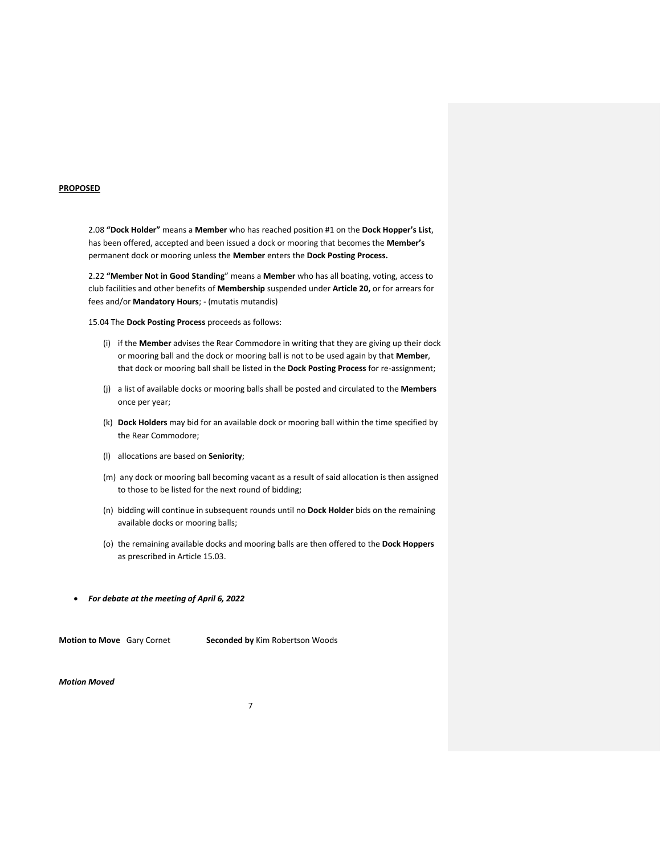#### **PROPOSED**

2.08 **"Dock Holder"** means a **Member** who has reached position #1 on the **Dock Hopper's List**, has been offered, accepted and been issued a dock or mooring that becomes the **Member's** permanent dock or mooring unless the **Member** enters the **Dock Posting Process.**

2.22 **"Member Not in Good Standing**" means a **Member** who has all boating, voting, access to club facilities and other benefits of **Membership** suspended under **Article 20,** or for arrears for fees and/or **Mandatory Hours**; - (mutatis mutandis)

15.04 The **Dock Posting Process** proceeds as follows:

- (i) if the **Member** advises the Rear Commodore in writing that they are giving up their dock or mooring ball and the dock or mooring ball is not to be used again by that **Member**, that dock or mooring ball shall be listed in the **Dock Posting Process** for re-assignment;
- (j) a list of available docks or mooring balls shall be posted and circulated to the **Members**  once per year;
- (k) **Dock Holders** may bid for an available dock or mooring ball within the time specified by the Rear Commodore;
- (l) allocations are based on **Seniority**;
- (m) any dock or mooring ball becoming vacant as a result of said allocation is then assigned to those to be listed for the next round of bidding;
- (n) bidding will continue in subsequent rounds until no **Dock Holder** bids on the remaining available docks or mooring balls;
- (o) the remaining available docks and mooring balls are then offered to the **Dock Hoppers** as prescribed in Article 15.03.
- *For debate at the meeting of April 6, 2022*

**Motion to Move** Gary Cornet **Seconded by** Kim Robertson Woods

*Motion Moved*